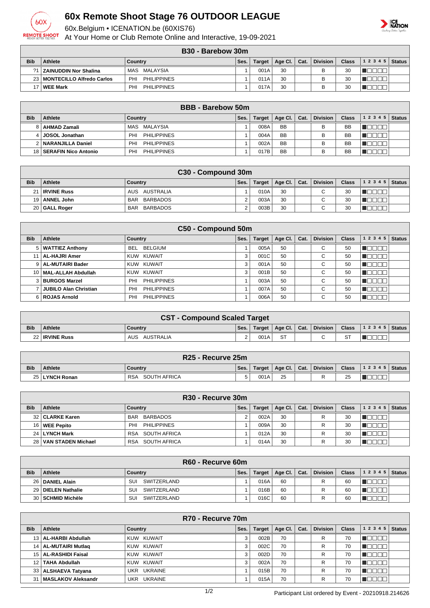

## **60x Remote Shoot Stage 76 OUTDOOR LEAGUE**

60x.Belgium • ICENATION.be (60XIS76)

At Your Home or Club Remote Online and Interactive, 19-09-2021



| B30 - Barebow 30m |  |                                    |  |
|-------------------|--|------------------------------------|--|
| Country           |  | Ses.   Target   Age Cl.   Cat.   D |  |

| <b>Bib</b>      | <b>Athlete</b>                 | Country                   | Ses. | Target | Age Cl. | Cat. | <b>Division</b> | <b>Class</b> | 1 2 3 4 5  <br><b>Status</b> |
|-----------------|--------------------------------|---------------------------|------|--------|---------|------|-----------------|--------------|------------------------------|
| 21 <sub>1</sub> | ZAINUDDIN Nor Shalina          | MALAYSIA<br>MAS           |      | 001A   | 30      |      |                 | 30           |                              |
|                 | 23   MONTECILLO Alfredo Carlos | <b>PHILIPPINES</b><br>PHI |      | 011A   | 30      |      |                 | 30           |                              |
|                 | <b>WEE Mark</b>                | <b>PHILIPPINES</b><br>PHI |      | 017A   | 30      |      |                 | 30           |                              |

|            | <b>BBB</b> - Barebow 50m |                                  |      |        |                 |      |          |              |                |  |
|------------|--------------------------|----------------------------------|------|--------|-----------------|------|----------|--------------|----------------|--|
| <b>Bib</b> | Athlete                  | Country                          | Ses. | Target | Age Cl. $\vert$ | Cat. | Division | <b>Class</b> | $12345$ Status |  |
|            | AHMAD Zamali             | MAS MALAYSIA                     |      | 008A   | <b>BB</b>       |      | B        | <b>BB</b>    |                |  |
| 4 I        | JOSOL Jonathan           | <b>PHILIPPINES</b><br><b>PHI</b> |      | 004A   | BB              |      | в        | <b>BB</b>    |                |  |
|            | NARANJILLA Daniel        | <b>PHILIPPINES</b><br><b>PHI</b> |      | 002A   | BB              |      | B        | <b>BB</b>    |                |  |
| 18 I       | SERAFIN Nico Antonio     | PHI<br><b>PHILIPPINES</b>        |      | 017B   | <b>BB</b>       |      | в        | <b>BB</b>    |                |  |

|            | C30 - Compound 30m |                        |      |        |                      |  |             |              |       |               |
|------------|--------------------|------------------------|------|--------|----------------------|--|-------------|--------------|-------|---------------|
| <b>Bib</b> | Athlete            | Country                | Ses. | Target | Age Cl. $\vert$ Cat. |  | Division    | <b>Class</b> | 12345 | <b>Status</b> |
|            | 21   IRVINE Russ   | AUS AUSTRALIA          |      | 010A   | 30                   |  | C           | 30           |       |               |
|            | 19   ANNEL John    | BARBADOS<br>BAR        |      | 003A   | 30                   |  | $\sim$<br>◡ | 30           |       |               |
|            | 20 GALL Roger      | BARBADOS<br><b>BAR</b> |      | 003B   | 30                   |  | $\sim$<br>╰ | 30           |       |               |

|                                                                                                                                               | C50 - Compound 50m           |                           |   |      |    |  |             |    |  |  |  |
|-----------------------------------------------------------------------------------------------------------------------------------------------|------------------------------|---------------------------|---|------|----|--|-------------|----|--|--|--|
| <b>Bib</b><br><b>Division</b><br>1 2 3 4 5<br>Athlete<br>Age Cl.<br><b>Class</b><br><b>Status</b><br>Country<br>Ses.<br>Cat.<br><b>Target</b> |                              |                           |   |      |    |  |             |    |  |  |  |
|                                                                                                                                               | 5   WATTIEZ Anthony          | BEL<br><b>BELGIUM</b>     |   | 005A | 50 |  | $\sim$<br>◡ | 50 |  |  |  |
|                                                                                                                                               | 11   AL-HAJRI Amer           | KUW KUWAIT                | 3 | 001C | 50 |  | $\sim$<br>◡ | 50 |  |  |  |
|                                                                                                                                               | 9   AL-MUTAIRI Bader         | KUW KUWAIT                | 3 | 001A | 50 |  | $\sim$<br>◡ | 50 |  |  |  |
|                                                                                                                                               | 10   MAL-ALLAH Abdullah      | KUW KUWAIT                | 3 | 001B | 50 |  | $\sim$<br>◡ | 50 |  |  |  |
|                                                                                                                                               | 3   BURGOS Marzel            | <b>PHILIPPINES</b><br>PHI |   | 003A | 50 |  | $\sim$<br>U | 50 |  |  |  |
|                                                                                                                                               | <b>JUBILO Alan Christian</b> | <b>PHILIPPINES</b><br>PHI |   | 007A | 50 |  | $\sim$<br>◡ | 50 |  |  |  |
|                                                                                                                                               | 6   ROJAS Arnold             | <b>PHILIPPINES</b><br>PHI |   | 006A | 50 |  | $\sim$<br>◡ | 50 |  |  |  |

|            | <b>CST - Compound Scaled Target</b> |                  |                    |        |                |  |          |              |                  |  |
|------------|-------------------------------------|------------------|--------------------|--------|----------------|--|----------|--------------|------------------|--|
| <b>Bib</b> | <b>Athlete</b>                      | <b>Country</b>   | Ses.               | Target | Age Cl.   Cat. |  | Division | <b>Class</b> | $ 12345 $ Status |  |
|            | 22   IRVINE Russ                    | AUSTRALIA<br>AUS | $\sim$<br><u>.</u> | 001A   | <b>ST</b>      |  | $\sim$   | oт<br>ا ت    |                  |  |

|            | R <sub>25</sub> - Recurve 25m |                            |      |        |                              |  |                 |              |                    |  |
|------------|-------------------------------|----------------------------|------|--------|------------------------------|--|-----------------|--------------|--------------------|--|
| <b>Bib</b> | <b>Athlete</b>                | <b>Country</b>             | Ses. | Target | $\vert$ Age Cl. $\vert$ Cat. |  | <b>Division</b> | <b>Class</b> | 1 2 3 4 5   Status |  |
|            | 25 LYNCH Ronan                | SOUTH AFRICA<br><b>RSA</b> |      | 001A   | 25                           |  |                 | 25           | ____               |  |

|            | R30 - Recurve 30m     |                            |      |        |                 |      |                 |              |       |               |
|------------|-----------------------|----------------------------|------|--------|-----------------|------|-----------------|--------------|-------|---------------|
| <b>Bib</b> | Athlete               | Country                    | Ses. | Target | Age Cl. $\vert$ | Cat. | <b>Division</b> | <b>Class</b> | 12345 | <b>Status</b> |
|            | 32   CLARKE Karen     | BARBADOS<br><b>BAR</b>     |      | 002A   | 30              |      | R               | 30           |       |               |
|            | 16   WEE Pepito       | <b>PHILIPPINES</b><br>PHI  |      | 009A   | 30              |      | R               | 30           |       |               |
|            | 24 LYNCH Mark         | SOUTH AFRICA<br><b>RSA</b> |      | 012A   | 30              |      | R               | 30           |       |               |
|            | 28 VAN STADEN Michael | SOUTH AFRICA<br><b>RSA</b> |      | 014A   | 30              |      | R               | 30           |       |               |

|            | R60 - Recurve 60m   |                    |      |               |                 |      |                 |              |                |  |
|------------|---------------------|--------------------|------|---------------|-----------------|------|-----------------|--------------|----------------|--|
| <b>Bib</b> | <b>Athlete</b>      | Country            | Ses. | <b>Target</b> | Age Cl. $\vert$ | Cat. | <b>Division</b> | <b>Class</b> | $12345$ Status |  |
|            | 26   DANIEL Alain   | SUI<br>SWITZERLAND |      | 016A          | 60              |      |                 | 60           |                |  |
|            | 29 DIELEN Nathalie  | SUI<br>SWITZERLAND |      | 016B          | 60              |      |                 | 60           |                |  |
|            | 30   SCHMID Michèle | SUI<br>SWITZERLAND |      | 016C          | 60              |      |                 | 60           |                |  |

|                 | R70 - Recurve 70m      |                       |      |               |             |      |                 |              |           |        |
|-----------------|------------------------|-----------------------|------|---------------|-------------|------|-----------------|--------------|-----------|--------|
| <b>Bib</b>      | Athlete                | Country               | Ses. | <b>Target</b> | Age Cl. $ $ | Cat. | <b>Division</b> | <b>Class</b> | 1 2 3 4 5 | Status |
|                 | 13   AL-HARBI Abdullah | KUW KUWAIT            | 3    | 002B          | 70          |      | R               | 70           |           |        |
|                 | 14   AL-MUTAIRI Mutlag | KUW KUWAIT            | 3    | 002C          | 70          |      | R               | 70           |           |        |
|                 | 15   AL-RASHIDI Faisal | KUW KUWAIT            | 3    | 002D          | 70          |      | R               | 70           |           |        |
| 12 <sub>1</sub> | <b>TAHA Abdullah</b>   | KUW KUWAIT            | 3    | 002A          | 70          |      | R               | 70           |           |        |
|                 | 33   ALSHAEVA Tatyana  | <b>UKRAINE</b><br>UKR |      | 015B          | 70          |      | R               | 70           |           |        |
| 31              | MASLAKOV Aleksandr     | UKRAINE<br>UKR        |      | 015A          | 70          |      | R               | 70           |           |        |